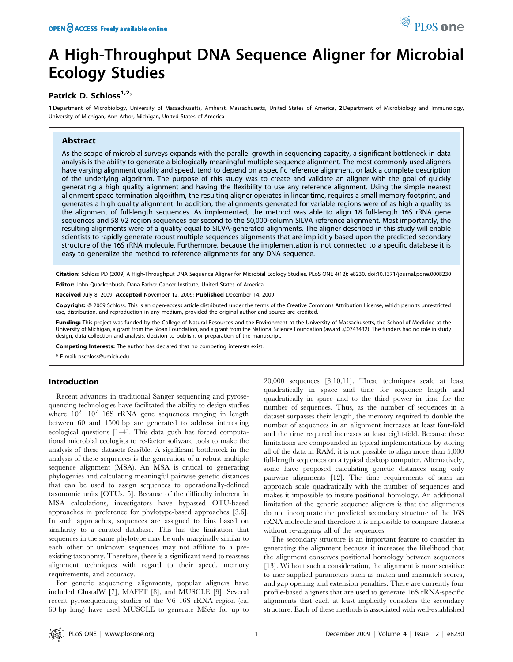# A High-Throughput DNA Sequence Aligner for Microbial Ecology Studies

# Patrick D. Schloss<sup>1,2\*</sup>

1 Department of Microbiology, University of Massachusetts, Amherst, Massachusetts, United States of America, 2 Department of Microbiology and Immunology, University of Michigan, Ann Arbor, Michigan, United States of America

# Abstract

As the scope of microbial surveys expands with the parallel growth in sequencing capacity, a significant bottleneck in data analysis is the ability to generate a biologically meaningful multiple sequence alignment. The most commonly used aligners have varying alignment quality and speed, tend to depend on a specific reference alignment, or lack a complete description of the underlying algorithm. The purpose of this study was to create and validate an aligner with the goal of quickly generating a high quality alignment and having the flexibility to use any reference alignment. Using the simple nearest alignment space termination algorithm, the resulting aligner operates in linear time, requires a small memory footprint, and generates a high quality alignment. In addition, the alignments generated for variable regions were of as high a quality as the alignment of full-length sequences. As implemented, the method was able to align 18 full-length 16S rRNA gene sequences and 58 V2 region sequences per second to the 50,000-column SILVA reference alignment. Most importantly, the resulting alignments were of a quality equal to SILVA-generated alignments. The aligner described in this study will enable scientists to rapidly generate robust multiple sequences alignments that are implicitly based upon the predicted secondary structure of the 16S rRNA molecule. Furthermore, because the implementation is not connected to a specific database it is easy to generalize the method to reference alignments for any DNA sequence.

Citation: Schloss PD (2009) A High-Throughput DNA Sequence Aligner for Microbial Ecology Studies. PLoS ONE 4(12): e8230. doi:10.1371/journal.pone.0008230

Editor: John Quackenbush, Dana-Farber Cancer Institute, United States of America

Received July 8, 2009; Accepted November 12, 2009; Published December 14, 2009

Copyright: @ 2009 Schloss. This is an open-access article distributed under the terms of the Creative Commons Attribution License, which permits unrestricted use, distribution, and reproduction in any medium, provided the original author and source are credited.

Funding: This project was funded by the College of Natural Resources and the Environment at the University of Massachusetts, the School of Medicine at the University of Michigan, a grant from the Sloan Foundation, and a grant from the National Science Foundation (award #0743432). The funders had no role in study design, data collection and analysis, decision to publish, or preparation of the manuscript.

Competing Interests: The author has declared that no competing interests exist.

\* E-mail: pschloss@umich.edu

# Introduction

Recent advances in traditional Sanger sequencing and pyrosequencing technologies have facilitated the ability to design studies where  $10^2 - 10^7$  16S rRNA gene sequences ranging in length between 60 and 1500 bp are generated to address interesting ecological questions [1–4]. This data gush has forced computational microbial ecologists to re-factor software tools to make the analysis of these datasets feasible. A significant bottleneck in the analysis of these sequences is the generation of a robust multiple sequence alignment (MSA). An MSA is critical to generating phylogenies and calculating meaningful pairwise genetic distances that can be used to assign sequences to operationally-defined taxonomic units [OTUs, 5]. Because of the difficulty inherent in MSA calculations, investigators have bypassed OTU-based approaches in preference for phylotype-based approaches [3,6]. In such approaches, sequences are assigned to bins based on similarity to a curated database. This has the limitation that sequences in the same phylotype may be only marginally similar to each other or unknown sequences may not affiliate to a preexisting taxonomy. Therefore, there is a significant need to reassess alignment techniques with regard to their speed, memory requirements, and accuracy.

For generic sequencing alignments, popular aligners have included ClustalW [7], MAFFT [8], and MUSCLE [9]. Several recent pyrosequencing studies of the V6 16S rRNA region (ca. 60 bp long) have used MUSCLE to generate MSAs for up to 20,000 sequences [3,10,11]. These techniques scale at least quadratically in space and time for sequence length and quadratically in space and to the third power in time for the number of sequences. Thus, as the number of sequences in a dataset surpasses their length, the memory required to double the number of sequences in an alignment increases at least four-fold and the time required increases at least eight-fold. Because these limitations are compounded in typical implementations by storing all of the data in RAM, it is not possible to align more than 5,000 full-length sequences on a typical desktop computer. Alternatively, some have proposed calculating genetic distances using only pairwise alignments [12]. The time requirements of such an approach scale quadratically with the number of sequences and makes it impossible to insure positional homology. An additional limitation of the generic sequence aligners is that the alignments do not incorporate the predicted secondary structure of the 16S rRNA molecule and therefore it is impossible to compare datasets without re-aligning all of the sequences.

The secondary structure is an important feature to consider in generating the alignment because it increases the likelihood that the alignment conserves positional homology between sequences [13]. Without such a consideration, the alignment is more sensitive to user-supplied parameters such as match and mismatch scores, and gap opening and extension penalties. There are currently four profile-based aligners that are used to generate 16S rRNA-specific alignments that each at least implicitly considers the secondary structure. Each of these methods is associated with well-established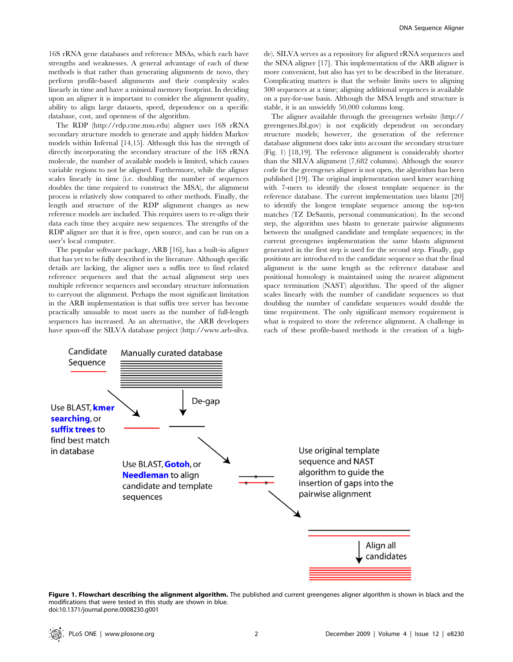16S rRNA gene databases and reference MSAs, which each have strengths and weaknesses. A general advantage of each of these methods is that rather than generating alignments de novo, they perform profile-based alignments and their complexity scales linearly in time and have a minimal memory footprint. In deciding upon an aligner it is important to consider the alignment quality, ability to align large datasets, speed, dependence on a specific database, cost, and openness of the algorithm.

The RDP (http://rdp.cme.msu.edu) aligner uses 16S rRNA secondary structure models to generate and apply hidden Markov models within Infernal [14,15]. Although this has the strength of directly incorporating the secondary structure of the 16S rRNA molecule, the number of available models is limited, which causes variable regions to not be aligned. Furthermore, while the aligner scales linearly in time (i.e. doubling the number of sequences doubles the time required to construct the MSA), the alignment process is relatively slow compared to other methods. Finally, the length and structure of the RDP alignment changes as new reference models are included. This requires users to re-align their data each time they acquire new sequences. The strengths of the RDP aligner are that it is free, open source, and can be run on a user's local computer.

The popular software package, ARB [16], has a built-in aligner that has yet to be fully described in the literature. Although specific details are lacking, the aligner uses a suffix tree to find related reference sequences and that the actual alignment step uses multiple reference sequences and secondary structure information to carryout the alignment. Perhaps the most significant limitation in the ARB implementation is that suffix tree server has become practically unusable to most users as the number of full-length sequences has increased. As an alternative, the ARB developers have spun-off the SILVA database project (http://www.arb-silva. de). SILVA serves as a repository for aligned rRNA sequences and the SINA aligner [17]. This implementation of the ARB aligner is more convenient, but also has yet to be described in the literature. Complicating matters is that the website limits users to aligning 300 sequences at a time; aligning additional sequences is available on a pay-for-use basis. Although the MSA length and structure is stable, it is an unwieldy 50,000 columns long.

The aligner available through the greengenes website (http:// greengenes.lbl.gov) is not explicitly dependent on secondary structure models; however, the generation of the reference database alignment does take into account the secondary structure (Fig. 1) [18,19]. The reference alignment is considerably shorter than the SILVA alignment (7,682 columns). Although the source code for the greengenes aligner is not open, the algorithm has been published [19]. The original implementation used kmer searching with 7-mers to identify the closest template sequence in the reference database. The current implementation uses blastn [20] to identify the longest template sequence among the top-ten matches (TZ DeSantis, personal communication). In the second step, the algorithm uses blastn to generate pairwise alignments between the unaligned candidate and template sequences; in the current greengenes implementation the same blastn alignment generated in the first step is used for the second step. Finally, gap positions are introduced to the candidate sequence so that the final alignment is the same length as the reference database and positional homology is maintained using the nearest alignment space termination (NAST) algorithm. The speed of the aligner scales linearly with the number of candidate sequences so that doubling the number of candidate sequences would double the time requirement. The only significant memory requirement is what is required to store the reference alignment. A challenge in each of these profile-based methods is the creation of a high-



Figure 1. Flowchart describing the alignment algorithm. The published and current greengenes aligner algorithm is shown in black and the modifications that were tested in this study are shown in blue. doi:10.1371/journal.pone.0008230.g001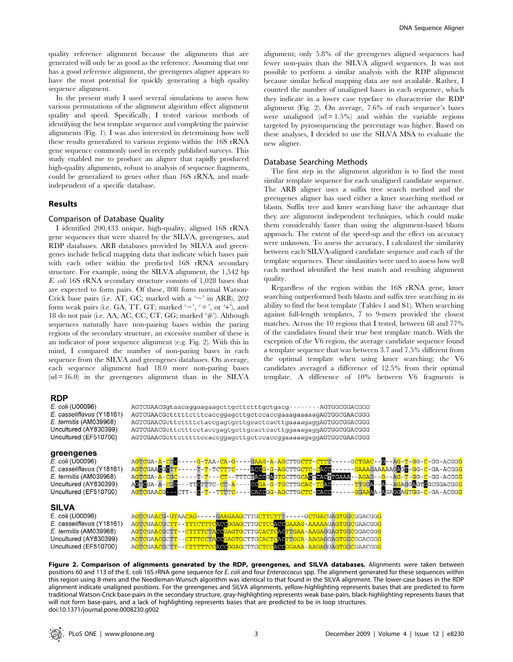quality reference alignment because the alignments that are generated will only be as good as the reference. Assuming that one has a good reference alignment, the greengenes aligner appears to have the most potential for quickly generating a high quality sequence alignment.

In the present study I used several simulations to assess how various permutations of the alignment algorithm effect alignment quality and speed. Specifically, I tested various methods of identifying the best template sequence and completing the pairwise alignments (Fig. 1). I was also interested in determining how well these results generalized to various regions within the 16S rRNA gene sequence commonly used in recently published surveys. This study enabled me to produce an aligner that rapidly produced high-quality alignments, robust to analysis of sequence fragments, could be generalized to genes other than 16S rRNA, and made independent of a specific database.

#### Results

# Comparison of Database Quality

I identified 200,433 unique, high-quality, aligned 16S rRNA gene sequences that were shared by the SILVA, greengenes, and RDP databases. ARB databases provided by SILVA and greengenes include helical mapping data that indicate which bases pair with each other within the predicted 16S rRNA secondary structure. For example, using the SILVA alignment, the 1,542 bp E. coli 16S rRNA secondary structure consists of 1,028 bases that are expected to form pairs. Of these, 808 form normal Watson-Crick base pairs (i.e. AT, GC; marked with a  $\sim$  in ARB), 202 form weak pairs (i.e. GA, TT, GT; marked ' $-$ ', ' $=$ ', or '+'), and 18 do not pair (i.e. AA, AC, CC, CT, GG; marked '#'). Although sequences naturally have non-pairing bases within the paring regions of the secondary structure, an excessive number of these is an indicator of poor sequence alignment (e.g. Fig. 2). With this in mind, I compared the number of non-paring bases in each sequence from the SILVA and greengenes databases. On average, each sequence alignment had 18.0 more non-paring bases  $(sd = 16.0)$  in the greengenes alignment than in the SILVA alignment; only 5.8% of the greengenes aligned sequences had fewer non-pairs than the SILVA aligned sequences. It was not possible to perform a similar analysis with the RDP alignment because similar helical mapping data are not available. Rather, I counted the number of unaligned bases in each sequence, which they indicate in a lower case typeface to characterize the RDP alignment (Fig. 2). On average, 7.6% of each sequence's bases were unaligned  $(sd = 1.5\%)$  and within the variable regions targeted by pyrosequencing the percentage was higher. Based on these analyses, I decided to use the SILVA MSA to evaluate the new aligner.

#### Database Searching Methods

The first step in the alignment algorithm is to find the most similar template sequence for each unaligned candidate sequence. The ARB aligner uses a suffix tree search method and the greengenes aligner has used either a kmer searching method or blastn. Suffix tree and kmer searching have the advantage that they are alignment independent techniques, which could make them considerably faster than using the alignment-based blastn approach. The extent of the speed-up and the effect on accuracy were unknown. To assess the accuracy, I calculated the similarity between each SILVA-aligned candidate sequence and each of the template sequences. These similarities were used to assess how well each method identified the best match and resulting alignment quality.

Regardless of the region within the 16S rRNA gene, kmer searching outperformed both blastn and suffix tree searching in its ability to find the best template (Tables 1 and S1). When searching against full-length templates, 7 to 9-mers provided the closest matches. Across the 10 regions that I tested, between 68 and 77% of the candidates found their true best template match. With the exception of the V6 region, the average candidate sequence found a template sequence that was between 3.7 and 7.5% different from the optimal template when using kmer searching; the V6 candidates averaged a difference of 12.5% from their optimal template. A difference of 10% between V6 fragments is

#### **RDP**

#### E. coli (U00096) E. casseliflavus (Y18161) E. termitis (AM039968) Uncultured (AY830399) Uncultured (EF510700)

### greengenes

E. coli (U00096) E. casseliflavus (Y18161) E. termitis (AM039968) Uncultured (AY830399) Uncultured (EF510700)

#### **SILVA**

E. coli (U00096) E. casseliflavus (Y18161) E. termitis (AM039968) Uncultured (AY830399) Uncultured (EF510700)

AGTCGAACGgtaacaggaagaagcttgcttctttgctgacg - - - - - - - - AGTGGCGGACGGG AGTCGAACGctttttctttcaccggagcttgctccaccgaaagaaaaagAGTGGCGAACGGG AGTCGAACGcttcttttctaccqaqtqcttqcactcacttqaaaaqaqqAGTGGCGGACGGG AGTCGAACGcttctttcctaccgagtgcttgcactcacttggaaagaggAGTGGCGGACGGG AGTCGAACGcttctttttccaccggagcttgctccaccggaaaaagaggAGTGGCGAACGGG



| AGTCGAACG-GTAACAG-----GAAGAAGCTTGCTTCTTT-----GCTGACGAGTGGCGGACGGG      |  |
|------------------------------------------------------------------------|--|
| AGTCGAACGCTT - - TTTCTTTCACCGGAGCTTGCTCCACCGAAAG - AAAAAGAGTGGCGAACGGG |  |
| AGTCGAACGCTT - - CTTTTCTACCGAGTGCTTGCACTCACTTGAA - AAGAGGAGTGGCGGACGGG |  |
| AGTCGAACGCTT - - CTTTCCTACGGAGTGCTTGCACTCACTTGGA - AAGAGGAGTGGCGGACGGG |  |
| AGTCGAACGCTT - - CTTTTTCCACCGGAGCTTGCTCCACCGGAAA - AAGAGGAGTGCCGAACGGG |  |

Figure 2. Comparison of alignments generated by the RDP, greengenes, and SILVA databases. Alignments were taken between positions 60 and 113 of the E. coli 16S rRNA gene sequence for E. coli and four Enteroccocus spp. The alignment generated for these sequences within this region using 8-mers and the Needleman-Wunsch algorithm was identical to that found in the SILVA alignment. The lower-case bases in the RDP alignment indicate unaligned positions. For the greengenes and SILVA alignments, yellow-highlighting represents bases that are predicted to form traditional Watson-Crick base-pairs in the secondary structure, gray-highlighting represents weak base-pairs, black-highlighting represents bases that will not form base-pairs, and a lack of highlighting represents bases that are predicted to be in loop structures. doi:10.1371/journal.pone.0008230.g002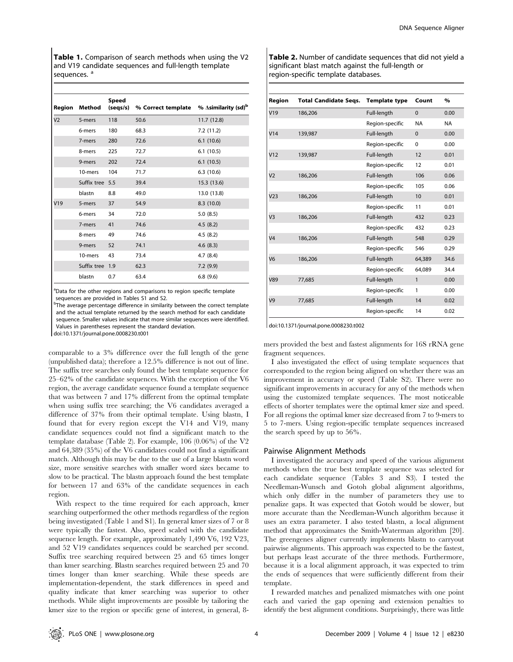Table 1. Comparison of search methods when using the V2 and V19 candidate sequences and full-length template sequences.<sup>a</sup>

| Region         | Method          | <b>Speed</b><br>(seqs/s) | % Correct template % Asimilarity (sd) <sup>b</sup> |             |
|----------------|-----------------|--------------------------|----------------------------------------------------|-------------|
| V <sub>2</sub> | 5-mers          | 118                      | 50.6                                               | 11.7(12.8)  |
|                | 6-mers          | 180                      | 68.3                                               | 7.2(11.2)   |
|                | 7-mers          | 280                      | 72.6                                               | 6.1(10.6)   |
|                | 8-mers          | 225                      | 72.7                                               | 6.1(10.5)   |
|                | 9-mers          | 202                      | 72.4                                               | 6.1(10.5)   |
|                | 10-mers         | 104                      | 71.7                                               | 6.3(10.6)   |
|                | Suffix tree 5.5 |                          | 39.4                                               | 15.3 (13.6) |
|                | blastn          | 8.8                      | 49.0                                               | 13.0 (13.8) |
| V19            | 5-mers          | 37                       | 54.9                                               | 8.3(10.0)   |
|                | 6-mers          | 34                       | 72.0                                               | 5.0(8.5)    |
|                | 7-mers          | 41                       | 74.6                                               | 4.5(8.2)    |
|                | 8-mers          | 49                       | 74.6                                               | 4.5(8.2)    |
|                | 9-mers          | 52                       | 74.1                                               | 4.6(8.3)    |
|                | 10-mers         | 43                       | 73.4                                               | 4.7(8.4)    |
|                | Suffix tree 1.9 |                          | 62.3                                               | 7.2(9.9)    |
|                | blastn          | 0.7                      | 63.4                                               | 6.8(9.6)    |

<sup>a</sup>Data for the other regions and comparisons to region specific template sequences are provided in Tables S1 and S2.

<sup>b</sup>The average percentage difference in similarity between the correct template and the actual template returned by the search method for each candidate sequence. Smaller values indicate that more similar sequences were identified. Values in parentheses represent the standard deviation.

doi:10.1371/journal.pone.0008230.t001

comparable to a 3% difference over the full length of the gene (unpublished data); therefore a 12.5% difference is not out of line. The suffix tree searches only found the best template sequence for 25–62% of the candidate sequences. With the exception of the V6 region, the average candidate sequence found a template sequence that was between 7 and 17% different from the optimal template when using suffix tree searching; the V6 candidates averaged a difference of 37% from their optimal template. Using blastn, I found that for every region except the V14 and V19, many candidate sequences could not find a significant match to the template database (Table 2). For example, 106 (0.06%) of the V2 and 64,389 (35%) of the V6 candidates could not find a significant match. Although this may be due to the use of a large blastn word size, more sensitive searches with smaller word sizes became to slow to be practical. The blastn approach found the best template for between 17 and 63% of the candidate sequences in each region.

With respect to the time required for each approach, kmer searching outperformed the other methods regardless of the region being investigated (Table 1 and S1). In general kmer sizes of 7 or 8 were typically the fastest. Also, speed scaled with the candidate sequence length. For example, approximately 1,490 V6, 192 V23, and 52 V19 candidates sequences could be searched per second. Suffix tree searching required between 25 and 65 times longer than kmer searching. Blastn searches required between 25 and 70 times longer than kmer searching. While these speeds are implementation-dependent, the stark differences in speed and quality indicate that kmer searching was superior to other methods. While slight improvements are possible by tailoring the kmer size to the region or specific gene of interest, in general, 8Table 2. Number of candidate sequences that did not yield a significant blast match against the full-length or region-specific template databases.

| Region          | <b>Total Candidate Segs.</b> | <b>Template type</b> | Count        | %         |
|-----------------|------------------------------|----------------------|--------------|-----------|
| V19             | 186,206                      | Full-length          | $\mathbf{0}$ | 0.00      |
|                 |                              | Region-specific      | <b>NA</b>    | <b>NA</b> |
| V14             | 139,987                      | Full-length          | $\Omega$     | 0.00      |
|                 |                              | Region-specific      | 0            | 0.00      |
| V <sub>12</sub> | 139,987                      | Full-length          | 12           | 0.01      |
|                 |                              | Region-specific      | 12           | 0.01      |
| V <sub>2</sub>  | 186,206                      | Full-length          | 106          | 0.06      |
|                 |                              | Region-specific      | 105          | 0.06      |
| V <sub>23</sub> | 186,206                      | Full-length          | 10           | 0.01      |
|                 |                              | Region-specific      | 11           | 0.01      |
| V <sub>3</sub>  | 186,206                      | Full-length          | 432          | 0.23      |
|                 |                              | Region-specific      | 432          | 0.23      |
| V <sub>4</sub>  | 186,206                      | Full-length          | 548          | 0.29      |
|                 |                              | Region-specific      | 546          | 0.29      |
| V <sub>6</sub>  | 186,206                      | Full-length          | 64,389       | 34.6      |
|                 |                              | Region-specific      | 64,089       | 34.4      |
| V89             | 77,685                       | Full-length          | $\mathbf{1}$ | 0.00      |
|                 |                              | Region-specific      | 1            | 0.00      |
| V <sub>9</sub>  | 77,685                       | Full-length          | 14           | 0.02      |
|                 |                              | Region-specific      | 14           | 0.02      |

doi:10.1371/journal.pone.0008230.t002

mers provided the best and fastest alignments for 16S rRNA gene fragment sequences.

I also investigated the effect of using template sequences that corresponded to the region being aligned on whether there was an improvement in accuracy or speed (Table S2). There were no significant improvements in accuracy for any of the methods when using the customized template sequences. The most noticeable effects of shorter templates were the optimal kmer size and speed. For all regions the optimal kmer size decreased from 7 to 9-mers to 5 to 7-mers. Using region-specific template sequences increased the search speed by up to 56%.

#### Pairwise Alignment Methods

I investigated the accuracy and speed of the various alignment methods when the true best template sequence was selected for each candidate sequence (Tables 3 and S3). I tested the Needleman-Wunsch and Gotoh global alignment algorithms, which only differ in the number of parameters they use to penalize gaps. It was expected that Gotoh would be slower, but more accurate than the Needleman-Wunch algorithm because it uses an extra parameter. I also tested blastn, a local alignment method that approximates the Smith-Waterman algorithm [20]. The greengenes aligner currently implements blastn to carryout pairwise alignments. This approach was expected to be the fastest, but perhaps least accurate of the three methods. Furthermore, because it is a local alignment approach, it was expected to trim the ends of sequences that were sufficiently different from their template.

I rewarded matches and penalized mismatches with one point each and varied the gap opening and extension penalties to identify the best alignment conditions. Surprisingly, there was little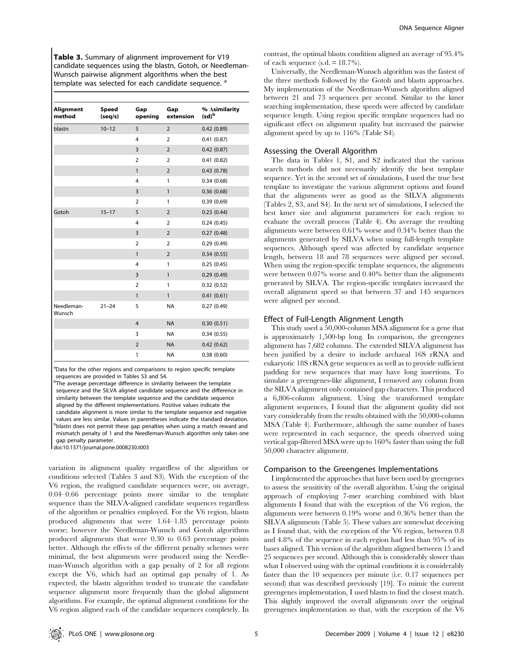Table 3. Summary of alignment improvement for V19 candidate sequences using the blastn, Gotoh, or Needleman-Wunsch pairwise alignment algorithms when the best template was selected for each candidate sequence.<sup>8</sup>

| Alignment<br>method  | Speed<br>(seq/s) | Gap<br>opening | Gap<br>extension | % ∆similarity<br>$(\mathsf{sd})^\mathsf{b}$ |
|----------------------|------------------|----------------|------------------|---------------------------------------------|
| blastn               | $10 - 12$        | 5              | $\overline{2}$   | 0.42(0.89)                                  |
|                      |                  | 4              | $\overline{2}$   | 0.41(0.87)                                  |
|                      |                  | $\overline{3}$ | $\overline{2}$   | 0.42(0.87)                                  |
|                      |                  | $\overline{2}$ | $\overline{2}$   | 0.41(0.82)                                  |
|                      |                  | $\mathbf{1}$   | $\overline{2}$   | 0.43(0.78)                                  |
|                      |                  | $\overline{4}$ | 1                | 0.34(0.68)                                  |
|                      |                  | $\overline{3}$ | $\mathbf{1}$     | 0.36(0.68)                                  |
|                      |                  | $\overline{2}$ | 1                | 0.39(0.69)                                  |
| Gotoh                | $15 - 17$        | 5              | $\overline{2}$   | 0.23(0.44)                                  |
|                      |                  | $\overline{4}$ | $\overline{2}$   | 0.24(0.45)                                  |
|                      |                  | $\overline{3}$ | $\overline{2}$   | 0.27(0.48)                                  |
|                      |                  | $\overline{2}$ | $\overline{2}$   | 0.29(0.49)                                  |
|                      |                  | $\mathbf{1}$   | $\overline{2}$   | 0.34(0.55)                                  |
|                      |                  | 4              | 1                | 0.25(0.45)                                  |
|                      |                  | $\overline{3}$ | $\mathbf{1}$     | 0.29(0.49)                                  |
|                      |                  | $\overline{2}$ | 1                | 0.32(0.52)                                  |
|                      |                  | $\mathbf{1}$   | $\mathbf{1}$     | 0.41(0.61)                                  |
| Needleman-<br>Wunsch | $21 - 24$        | 5              | <b>NA</b>        | 0.27(0.49)                                  |
|                      |                  | $\overline{4}$ | <b>NA</b>        | 0.30(0.51)                                  |
|                      |                  | 3              | <b>NA</b>        | 0.34(0.55)                                  |
|                      |                  | $\overline{2}$ | <b>NA</b>        | 0.42(0.62)                                  |
|                      |                  | 1              | <b>NA</b>        | 0.38(0.60)                                  |

<sup>a</sup>Data for the other regions and comparisons to region specific template sequences are provided in Tables S3 and S4.

<sup>b</sup>The average percentage difference in similarity between the template sequence and the SILVA aligned candidate sequence and the difference in similarity between the template sequence and the candidate sequence aligned by the different implementations. Positive values indicate the candidate alignment is more similar to the template sequence and negative values are less similar. Values in parentheses indicate the standard deviation. bblastn does not permit these gap penalties when using a match reward and mismatch penalty of 1 and the Needleman-Wunsch algorithm only takes one gap penalty parameter.

doi:10.1371/journal.pone.0008230.t003

variation in alignment quality regardless of the algorithm or conditions selected (Tables 3 and S3). With the exception of the V6 region, the realigned candidate sequences were, on average, 0.04–0.66 percentage points more similar to the template sequence than the SILVA-aligned candidate sequences regardless of the algorithm or penalties employed. For the V6 region, blastn produced alignments that were 1.64–1.85 percentage points worse; however the Needleman-Wunsch and Gotoh algorithms produced alignments that were 0.30 to 0.63 percentage points better. Although the effects of the different penalty schemes were minimal, the best alignments were produced using the Needleman-Wunsch algorithm with a gap penalty of 2 for all regions except the V6, which had an optimal gap penalty of 1. As expected, the blastn algorithm tended to truncate the candidate sequence alignment more frequently than the global alignment algorithms. For example, the optimal alignment conditions for the V6 region aligned each of the candidate sequences completely. In contrast, the optimal blastn condition aligned an average of 95.4% of each sequence  $(s.d. = 18.7\%)$ .

Universally, the Needleman-Wunsch algorithm was the fastest of the three methods followed by the Gotoh and blastn approaches. My implementation of the Needleman-Wunsch algorithm aligned between 21 and 73 sequences per second. Similar to the kmer searching implementation, these speeds were affected by candidate sequence length. Using region specific template sequences had no significant effect on alignment quality but increased the pairwise alignment speed by up to 116% (Table S4).

#### Assessing the Overall Algorithm

The data in Tables 1, S1, and S2 indicated that the various search methods did not necessarily identify the best template sequence. Yet in the second set of simulations, I used the true best template to investigate the various alignment options and found that the alignments were as good as the SILVA alignments (Tables 2, S3, and S4). In the next set of simulations, I selected the best kmer size and alignment parameters for each region to evaluate the overall process (Table 4). On average the resulting alignments were between 0.61% worse and 0.34% better than the alignments generated by SILVA when using full-length template sequences. Although speed was affected by candidate sequence length, between 18 and 78 sequences were aligned per second. When using the region-specific template sequences, the alignments were between 0.07% worse and 0.40% better than the alignments generated by SILVA. The region-specific templates increased the overall alignment speed so that between 37 and 145 sequences were aligned per second.

#### Effect of Full-Length Alignment Length

This study used a 50,000-column MSA alignment for a gene that is approximately 1,500-bp long. In comparison, the greengenes alignment has 7,682 columns. The extended SILVA alignment has been justified by a desire to include archaeal 16S rRNA and eukaryotic 18S rRNA gene sequences as well as to provide sufficient padding for new sequences that may have long insertions. To simulate a greengenes-like alignment, I removed any column from the SILVA alignment only contained gap characters. This produced a 6,806-column alignment. Using the transformed template alignment sequences, I found that the alignment quality did not vary considerably from the results obtained with the 50,000-column MSA (Table 4). Furthermore, although the same number of bases were represented in each sequence, the speeds observed using vertical gap-filtered MSA were up to 160% faster than using the full 50,000 character alignment.

#### Comparison to the Greengenes Implementations

I implemented the approaches that have been used by greengenes to assess the sensitivity of the overall algorithm. Using the original approach of employing 7-mer searching combined with blast alignments I found that with the exception of the V6 region, the alignments were between 0.19% worse and 0.36% better than the SILVA alignments (Table 5). These values are somewhat deceiving as I found that, with the exception of the V6 region, between 0.8 and 4.8% of the sequence in each region had less than 95% of its bases aligned. This version of the algorithm aligned between 15 and 25 sequences per second. Although this is considerably slower than what I observed using with the optimal conditions it is considerably faster than the 10 sequences per minute (i.e. 0.17 sequences per second) that was described previously [19]. To mimic the current greengenes implementation, I used blastn to find the closest match. This slightly improved the overall alignments over the original greengenes implementation so that, with the exception of the V6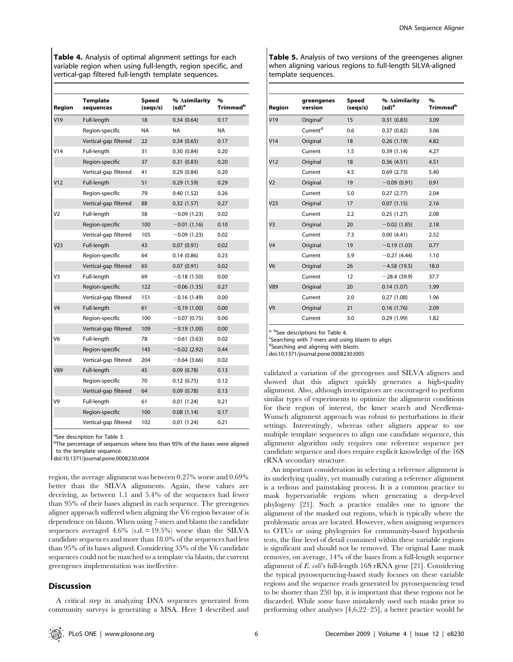Table 4. Analysis of optimal alignment settings for each variable region when using full-length, region specific, and vertical-gap filtered full-length template sequences.

| Region          | <b>Template</b><br>sequences | Speed<br>(segs/s) | % ∆similarity<br>$(\mathsf{sd})^a$ | $\%$<br>Trimmed <sup>b</sup> |
|-----------------|------------------------------|-------------------|------------------------------------|------------------------------|
| V19             | Full-length                  | 18                | 0.34(0.64)                         | 0.17                         |
|                 | Region-specific              | <b>NA</b>         | NA                                 | NA                           |
|                 | Vertical-gap filtered        | 22                | 0.34(0.65)                         | 0.17                         |
| V14             | Full-length                  | 31                | 0.30(0.84)                         | 0.20                         |
|                 | Region-specific              | 37                | 0.31(0.83)                         | 0.20                         |
|                 | Vertical-gap filtered        | 41                | 0.29(0.84)                         | 0.20                         |
| V12             | Full-length                  | 51                | 0.29(1.59)                         | 0.29                         |
|                 | Region-specific              | 79                | 0.40(1.52)                         | 0.26                         |
|                 | Vertical-gap filtered        | 88                | 0.32(1.57)                         | 0.27                         |
| V <sub>2</sub>  | Full-length                  | 58                | $-0.09(1.23)$                      | 0.02                         |
|                 | Region-specific              | 100               | $-0.01(1.16)$                      | 0.10                         |
|                 | Vertical-gap filtered        | 105               | $-0.09(1.23)$                      | 0.02                         |
| V <sub>23</sub> | Full-length                  | 43                | 0.07(0.91)                         | 0.02                         |
|                 | Region-specific              | 64                | 0.14(0.86)                         | 0.23                         |
|                 | Vertical-gap filtered        | 65                | 0.07(0.91)                         | 0.02                         |
| V3              | Full-length                  | 69                | $-0.18(1.50)$                      | 0.00                         |
|                 | Region-specific              | 122               | $-0.06(1.35)$                      | 0.27                         |
|                 | Vertical-gap filtered        | 151               | $-0.16(1.49)$                      | 0.00                         |
| V <sub>4</sub>  | Full-length                  | 61                | $-0.19(1.00)$                      | 0.00                         |
|                 | Region-specific              | 100               | $-0.07(0.75)$                      | 0.00                         |
|                 | Vertical-gap filtered        | 109               | $-0.19(1.00)$                      | 0.00                         |
| V <sub>6</sub>  | Full-length                  | 78                | $-0.61(3.63)$                      | 0.02                         |
|                 | Region-specific              | 145               | $-0.02$ (2.92)                     | 0.44                         |
|                 | Vertical-gap filtered        | 204               | $-0.64(3.66)$                      | 0.02                         |
| V89             | Full-length                  | 45                | 0.09(0.78)                         | 0.13                         |
|                 | Region-specific              | 70                | 0.12(0.75)                         | 0.12                         |
|                 | Vertical-gap filtered        | 64                | 0.09(0.78)                         | 0.13                         |
| V9              | Full-length                  | 61                | 0.01(1.24)                         | 0.21                         |
|                 | Region-specific              | 100               | 0.08(1.14)                         | 0.17                         |
|                 | Vertical-gap filtered        | 102               | 0.01(1.24)                         | 0.21                         |

<sup>a</sup>See description for Table 3.

<sup>b</sup>The percentage of sequences where less than 95% of the bases were aligned to the template sequence.

doi:10.1371/journal.pone.0008230.t004

region, the average alignment was between 0.27% worse and 0.69% better than the SILVA alignments. Again, these values are deceiving, as between 1.1 and 5.4% of the sequences had fewer than 95% of their bases aligned in each sequence. The greengenes aligner approach suffered when aligning the V6 region because of is dependence on blastn. When using 7-mers and blastn the candidate sequences averaged  $4.6\%$  (s.d. = 19.5%) worse than the SILVA candidate sequences and more than 18.0% of the sequences had less than 95% of its bases aligned. Considering 35% of the V6 candidate sequences could not be matched to a template via blastn, the current greengenes implementation was ineffective.

#### **Discussion**

A critical step in analyzing DNA sequences generated from community surveys is generating a MSA. Here I described and Table 5. Analysis of two versions of the greengenes aligner when aligning various regions to full-length SILVA-aligned template sequences.

| Region          | greengenes<br>version | <b>Speed</b><br>(seqs/s) | % ∆similarity<br>$(sd)^a$ | $\%$<br>Trimmed <sup>b</sup> |
|-----------------|-----------------------|--------------------------|---------------------------|------------------------------|
| V19             | Original <sup>c</sup> | 15                       | 0.31(0.83)                | 3.09                         |
|                 | Current <sup>d</sup>  | 0.6                      | 0.37(0.82)                | 3.06                         |
| V14             | Original              | 18                       | 0.26(1.19)                | 4.82                         |
|                 | Current               | 1.5                      | 0.39(1.14)                | 4.27                         |
| V <sub>12</sub> | Original              | 18                       | 0.36(4.51)                | 4.51                         |
|                 | Current               | 4.5                      | 0.69(2.73)                | 5.40                         |
| V <sub>2</sub>  | Original              | 19                       | $-0.09(0.91)$             | 0.91                         |
|                 | Current               | 5.0                      | 0.27(2.77)                | 2.04                         |
| V <sub>23</sub> | Original              | 17                       | 0.07(1.15)                | 2.16                         |
|                 | Current               | 2.2                      | 0.25(1.27)                | 2.08                         |
| V <sub>3</sub>  | Original              | 20                       | $-0.02$ (1.85)            | 2.18                         |
|                 | Current               | 7.3                      | 0.00(4.41)                | 2.52                         |
| V <sub>4</sub>  | Original              | 19                       | $-0.19(1.03)$             | 0.77                         |
|                 | Current               | 5.9                      | $-0.27(4.44)$             | 1.10                         |
| V <sub>6</sub>  | Original              | 26                       | $-4.58(19.5)$             | 18.0                         |
|                 | Current               | 12                       | $-28.4(39.9)$             | 37.7                         |
| V89             | Original              | 20                       | 0.14(1.07)                | 1.99                         |
|                 | Current               | 2.0                      | 0.27(1.08)                | 1.96                         |
| V <sub>9</sub>  | Original              | 21                       | 0.16(1.76)                | 2.09                         |
|                 | Current               | 3.0                      | 0.29(1.99)                | 1.82                         |

<sup>a, b</sup>See descriptions for Table 4.

Searching with 7-mers and using blastn to align.

dSearching and aligning with blastn.

doi:10.1371/journal.pone.0008230.t005

validated a variation of the greengenes and SILVA aligners and showed that this aligner quickly generates a high-quality alignment. Also, although investigators are encouraged to perform similar types of experiments to optimize the alignment conditions for their region of interest, the kmer search and Needlema-Wunsch alignment approach was robust to perturbations in their settings. Interestingly, whereas other aligners appear to use multiple template sequences to align one candidate sequence, this alignment algorithm only requires one reference sequence per candidate sequence and does require explicit knowledge of the 16S rRNA secondary structure.

An important consideration in selecting a reference alignment is its underlying quality, yet manually curating a reference alignment is a tedious and painstaking process. It is a common practice to mask hypervariable regions when generating a deep-level phylogeny [21]. Such a practice enables one to ignore the alignment of the masked out regions, which is typically where the problematic areas are located. However, when assigning sequences to OTUs or using phylogenies for community-based hypothesis tests, the fine level of detail contained within these variable regions is significant and should not be removed. The original Lane mask removes, on average, 14% of the bases from a full-length sequence alignment of  $E.$  coli's full-length 16S rRNA gene [21]. Considering the typical pyrosequencing-based study focuses on these variable regions and the sequence reads generated by pyrosequencing tend to be shorter than 250 bp, it is important that these regions not be discarded. While some have mistakenly used such masks prior to performing other analyses [4,6,22–25], a better practice would be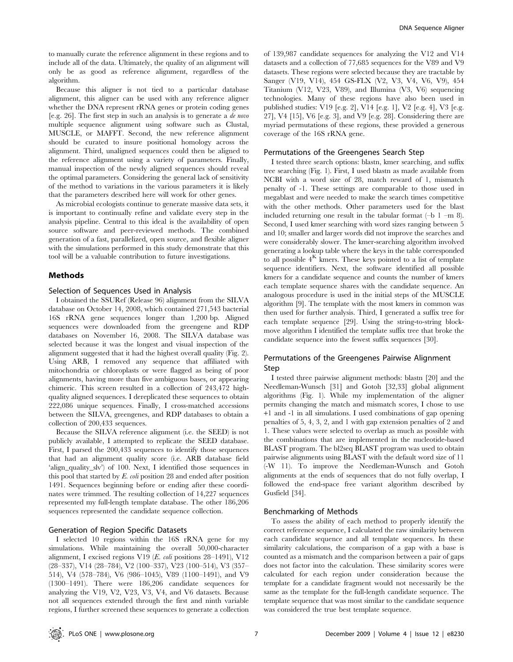to manually curate the reference alignment in these regions and to include all of the data. Ultimately, the quality of an alignment will only be as good as reference alignment, regardless of the algorithm.

Because this aligner is not tied to a particular database alignment, this aligner can be used with any reference aligner whether the DNA represent rRNA genes or protein coding genes [e.g. 26]. The first step in such an analysis is to generate a de novo multiple sequence alignment using software such as Clustal, MUSCLE, or MAFFT. Second, the new reference alignment should be curated to insure positional homology across the alignment. Third, unaligned sequences could then be aligned to the reference alignment using a variety of parameters. Finally, manual inspection of the newly aligned sequences should reveal the optimal parameters. Considering the general lack of sensitivity of the method to variations in the various parameters it is likely that the parameters described here will work for other genes.

As microbial ecologists continue to generate massive data sets, it is important to continually refine and validate every step in the analysis pipeline. Central to this ideal is the availability of open source software and peer-reviewed methods. The combined generation of a fast, parallelized, open source, and flexible aligner with the simulations performed in this study demonstrate that this tool will be a valuable contribution to future investigations.

#### Methods

# Selection of Sequences Used in Analysis

I obtained the SSURef (Release 96) alignment from the SILVA database on October 14, 2008, which contained 271,543 bacterial 16S rRNA gene sequences longer than 1,200 bp. Aligned sequences were downloaded from the greengene and RDP databases on November 16, 2008. The SILVA database was selected because it was the longest and visual inspection of the alignment suggested that it had the highest overall quality (Fig. 2). Using ARB, I removed any sequence that affiliated with mitochondria or chloroplasts or were flagged as being of poor alignments, having more than five ambiguous bases, or appearing chimeric. This screen resulted in a collection of 243,472 highquality aligned sequences. I dereplicated these sequences to obtain 222,086 unique sequences. Finally, I cross-matched accessions between the SILVA, greengenes, and RDP databases to obtain a collection of 200,433 sequences.

Because the SILVA reference alignment (i.e. the SEED) is not publicly available, I attempted to replicate the SEED database. First, I parsed the 200,433 sequences to identify those sequences that had an alignment quality score (i.e. ARB database field 'align\_quality\_slv') of 100. Next, I identified those sequences in this pool that started by E. coli position 28 and ended after position 1491. Sequences beginning before or ending after these coordinates were trimmed. The resulting collection of 14,227 sequences represented my full-length template database. The other 186,206 sequences represented the candidate sequence collection.

# Generation of Region Specific Datasets

I selected 10 regions within the 16S rRNA gene for my simulations. While maintaining the overall 50,000-character alignment, I excised regions V19 (E. coli positions 28–1491), V12 (28–337), V14 (28–784), V2 (100–337), V23 (100–514), V3 (357– 514), V4 (578–784), V6 (986–1045), V89 (1100–1491), and V9 (1300–1491). There were 186,206 candidate sequences for analyzing the V19, V2, V23, V3, V4, and V6 datasets. Because not all sequences extended through the first and ninth variable regions, I further screened these sequences to generate a collection of 139,987 candidate sequences for analyzing the V12 and V14 datasets and a collection of 77,685 sequences for the V89 and V9 datasets. These regions were selected because they are tractable by Sanger (V19, V14), 454 GS-FLX (V2, V3, V4, V6, V9), 454 Titanium (V12, V23, V89), and Illumina (V3, V6) sequencing technologies. Many of these regions have also been used in published studies: V19 [e.g. 2], V14 [e.g. 1], V2 [e.g. 4], V3 [e.g. 27], V4 [15], V6 [e.g. 3], and V9 [e.g. 28]. Considering there are myriad permutations of these regions, these provided a generous coverage of the 16S rRNA gene.

#### Permutations of the Greengenes Search Step

I tested three search options: blastn, kmer searching, and suffix tree searching (Fig. 1). First, I used blastn as made available from NCBI with a word size of 28, match reward of 1, mismatch penalty of -1. These settings are comparable to those used in megablast and were needed to make the search times competitive with the other methods. Other parameters used for the blast included returning one result in the tabular format  $(-b \ 1 -m \ 8)$ . Second, I used kmer searching with word sizes ranging between 5 and 10; smaller and larger words did not improve the searches and were considerably slower. The kmer-searching algorithm involved generating a lookup table where the keys in the table corresponded to all possible  $4^K$  kmers. These keys pointed to a list of template sequence identifiers. Next, the software identified all possible kmers for a candidate sequence and counts the number of kmers each template sequence shares with the candidate sequence. An analogous procedure is used in the initial steps of the MUSCLE algorithm [9]. The template with the most kmers in common was then used for further analysis. Third, I generated a suffix tree for each template sequence [29]. Using the string-to-string blockmove algorithm I identified the template suffix tree that broke the candidate sequence into the fewest suffix sequences [30].

# Permutations of the Greengenes Pairwise Alignment Step

I tested three pairwise alignment methods: blastn [20] and the Needleman-Wunsch [31] and Gotoh [32,33] global alignment algorithms (Fig. 1). While my implementation of the aligner permits changing the match and mismatch scores, I chose to use +1 and -1 in all simulations. I used combinations of gap opening penalties of 5, 4, 3, 2, and 1 with gap extension penalties of 2 and 1. These values were selected to overlap as much as possible with the combinations that are implemented in the nucleotide-based BLAST program. The bl2seq BLAST program was used to obtain pairwise alignments using BLAST with the default word size of 11 (-W 11). To improve the Needleman-Wunsch and Gotoh alignments at the ends of sequences that do not fully overlap, I followed the end-space free variant algorithm described by Gusfield [34].

#### Benchmarking of Methods

To assess the ability of each method to properly identify the correct reference sequence, I calculated the raw similarity between each candidate sequence and all template sequences. In these similarity calculations, the comparison of a gap with a base is counted as a mismatch and the comparison between a pair of gaps does not factor into the calculation. These similarity scores were calculated for each region under consideration because the template for a candidate fragment would not necessarily be the same as the template for the full-length candidate sequence. The template sequence that was most similar to the candidate sequence was considered the true best template sequence.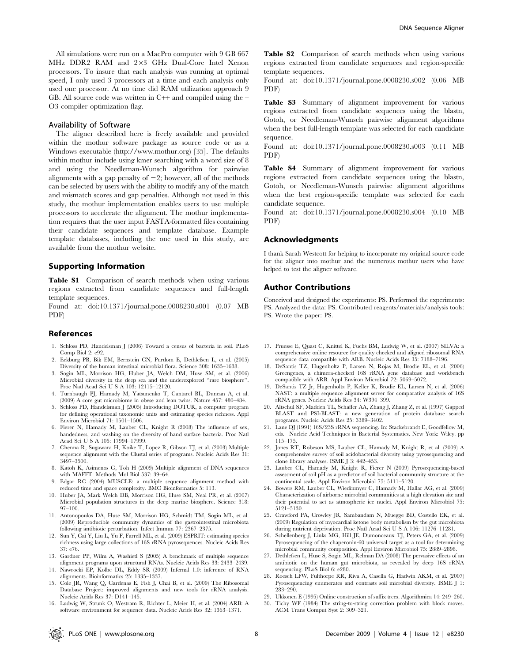All simulations were run on a MacPro computer with 9 GB 667 MHz DDR<sub>2</sub> RAM and 2×3 GHz Dual-Core Intel Xenon processors. To insure that each analysis was running at optimal speed, I only used 3 processors at a time and each analysis only used one processor. At no time did RAM utilization approach 9 GB. All source code was written in C++ and compiled using the – O3 compiler optimization flag.

#### Availability of Software

The aligner described here is freely available and provided within the mothur software package as source code or as a Windows executable (http://www.mothur.org) [35]. The defaults within mothur include using kmer searching with a word size of 8 and using the Needleman-Wunsch algorithm for pairwise alignments with a gap penalty of  $-2$ ; however, all of the methods can be selected by users with the ability to modify any of the match and mismatch scores and gap penalties. Although not used in this study, the mothur implementation enables users to use multiple processors to accelerate the alignment. The mothur implementation requires that the user input FASTA-formatted files containing their candidate sequences and template database. Example template databases, including the one used in this study, are available from the mothur website.

#### Supporting Information

Table S1 Comparison of search methods when using various regions extracted from candidate sequences and full-length template sequences.

Found at: doi:10.1371/journal.pone.0008230.s001 (0.07 MB PDF)

#### References

- 1. Schloss PD, Handelsman J (2006) Toward a census of bacteria in soil. PLoS Comp Biol 2: e92.
- 2. Eckburg PB, Bik EM, Bernstein CN, Purdom E, Dethlefsen L, et al. (2005) Diversity of the human intestinal microbial flora. Science 308: 1635–1638.
- 3. Sogin ML, Morrison HG, Huber JA, Welch DM, Huse SM, et al. (2006) Microbial diversity in the deep sea and the underexplored ''rare biosphere''. Proc Natl Acad Sci U S A 103: 12115–12120.
- 4. Turnbaugh PJ, Hamady M, Yatsunenko T, Cantarel BL, Duncan A, et al. (2009) A core gut microbiome in obese and lean twins. Nature 457: 480–484.
- 5. Schloss PD, Handelsman J (2005) Introducing DOTUR, a computer program for defining operational taxonomic units and estimating species richness. Appl Environ Microbiol 71: 1501–1506.
- 6. Fierer N, Hamady M, Lauber CL, Knight R (2008) The influence of sex, handedness, and washing on the diversity of hand surface bacteria. Proc Natl Acad Sci U S A 105: 17994–17999.
- 7. Chenna R, Sugawara H, Koike T, Lopez R, Gibson TJ, et al. (2003) Multiple sequence alignment with the Clustal series of programs. Nucleic Acids Res 31: 3497–3500.
- 8. Katoh K, Asimenos G, Toh H (2009) Multiple alignment of DNA sequences with MAFFT. Methods Mol Biol 537: 39–64.
- 9. Edgar RC (2004) MUSCLE: a multiple sequence alignment method with reduced time and space complexity. BMC Bioinformatics 5: 113.
- 10. Huber JA, Mark Welch DB, Morrison HG, Huse SM, Neal PR, et al. (2007) Microbial population structures in the deep marine biosphere. Science 318: 97–100.
- 11. Antonopoulos DA, Huse SM, Morrison HG, Schmidt TM, Sogin ML, et al. (2009) Reproducible community dynamics of the gastrointestinal microbiota following antibiotic perturbation. Infect Immun 77: 2367–2375.
- 12. Sun Y, Cai Y, Liu L, Yu F, Farrell ML, et al. (2009) ESPRIT: estimating species richness using large collections of 16S rRNA pyrosequences. Nucleic Acids Res 37: e76.
- 13. Gardner PP, Wilm A, Washietl S (2005) A benchmark of multiple sequence alignment programs upon structural RNAs. Nucleic Acids Res 33: 2433–2439.
- 14. Nawrocki EP, Kolbe DL, Eddy SR (2009) Infernal 1.0: inference of RNA alignments. Bioinformatics 25: 1335–1337.
- 15. Cole JR, Wang Q, Cardenas E, Fish J, Chai B, et al. (2009) The Ribosomal Database Project: improved alignments and new tools for rRNA analysis. Nucleic Acids Res 37: D141–145.
- 16. Ludwig W, Strunk O, Westram R, Richter L, Meier H, et al. (2004) ARB: A software environment for sequence data. Nucleic Acids Res 32: 1363–1371.

Table S2 Comparison of search methods when using various regions extracted from candidate sequences and region-specific template sequences.

Found at: doi:10.1371/journal.pone.0008230.s002 (0.06 MB PDF)

Table S3 Summary of alignment improvement for various regions extracted from candidate sequences using the blastn, Gotoh, or Needleman-Wunsch pairwise alignment algorithms when the best full-length template was selected for each candidate sequence.

Found at: doi:10.1371/journal.pone.0008230.s003 (0.11 MB PDF)

Table S4 Summary of alignment improvement for various regions extracted from candidate sequences using the blastn, Gotoh, or Needleman-Wunsch pairwise alignment algorithms when the best region-specific template was selected for each candidate sequence.

Found at: doi:10.1371/journal.pone.0008230.s004 (0.10 MB PDF)

#### Acknowledgments

I thank Sarah Westcott for helping to incorporate my original source code for the aligner into mothur and the numerous mothur users who have helped to test the aligner software.

#### Author Contributions

Conceived and designed the experiments: PS. Performed the experiments: PS. Analyzed the data: PS. Contributed reagents/materials/analysis tools: PS. Wrote the paper: PS.

- 17. Pruesse E, Quast C, Knittel K, Fuchs BM, Ludwig W, et al. (2007) SILVA: a comprehensive online resource for quality checked and aligned ribosomal RNA sequence data compatible with ARB. Nucleic Acids Res 35: 7188–7196.
- 18. DeSantis TZ, Hugenholtz P, Larsen N, Rojas M, Brodie EL, et al. (2006) Greengenes, a chimera-checked 16S rRNA gene database and workbench compatible with ARB. Appl Environ Microbiol 72: 5069–5072.
- 19. DeSantis TZ Jr, Hugenholtz P, Keller K, Brodie EL, Larsen N, et al. (2006) NAST: a multiple sequence alignment server for comparative analysis of 16S rRNA genes. Nucleic Acids Res 34: W394–399.
- 20. Altschul SF, Madden TL, Schaffer AA, Zhang J, Zhang Z, et al. (1997) Gapped BLAST and PSI-BLAST: a new generation of protein database search programs. Nucleic Acids Res 25: 3389–3402.
- 21. Lane DJ (1991) 16S/23S rRNA sequencing. In: Stackebrandt E, Goodfellow M, eds. Nucleic Acid Techniques in Bacterial Systematics. New York: Wiley. pp 115–175.
- 22. Jones RT, Robeson MS, Lauber CL, Hamady M, Knight R, et al. (2009) A comprehensive survey of soil acidobacterial diversity using pyrosequencing and clone library analyses. ISME J 3: 442–453.
- 23. Lauber CL, Hamady M, Knight R, Fierer N (2009) Pyrosequencing-based assessment of soil pH as a predictor of soil bacterial community structure at the continental scale. Appl Environ Microbiol 75: 5111–5120.
- 24. Bowers RM, Lauber CL, Wiedinmyer C, Hamady M, Hallar AG, et al. (2009) Characterization of airborne microbial communities at a high elevation site and their potential to act as atmospheric ice nuclei. Appl Environ Microbiol 75: 5121–5130.
- 25. Crawford PA, Crowley JR, Sambandam N, Muegge BD, Costello EK, et al. (2009) Regulation of myocardial ketone body metabolism by the gut microbiota during nutrient deprivation. Proc Natl Acad Sci U S A 106: 11276–11281.
- 26. Schellenberg J, Links MG, Hill JE, Dumonceaux TJ, Peters GA, et al. (2009) Pyrosequencing of the chaperonin-60 universal target as a tool for determining microbial community composition. Appl Environ Microbiol 75: 2889–2898.
- 27. Dethlefsen L, Huse S, Sogin ML, Relman DA (2008) The pervasive effects of an antibiotic on the human gut microbiota, as revealed by deep 16S rRNA sequencing. PLoS Biol 6: e280.
- 28. Roesch LFW, Fulthorpe RR, Riva A, Casella G, Hadwin AKM, et al. (2007) Pyrosequencing enumerates and contrasts soil microbial diversity. ISME J 1: 283–290.
- 29. Ukkonen E (1995) Online construction of suffix trees. Algorithmica 14: 249–260.
- 30. Tichy WF (1984) The string-to-string correction problem with block moves. ACM Trans Comput Syst 2: 309–321.